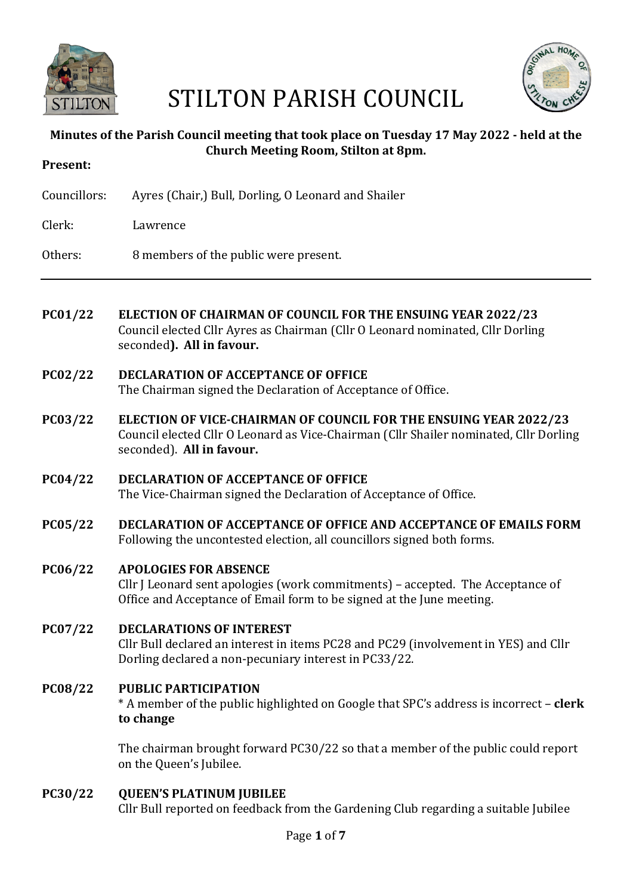

# STILTON PARISH COUNCIL



# **Minutes of the Parish Council meeting that took place on Tuesday 17 May 2022 - held at the Church Meeting Room, Stilton at 8pm.**

| Present:     |                                                                                                                                                                                    |
|--------------|------------------------------------------------------------------------------------------------------------------------------------------------------------------------------------|
| Councillors: | Ayres (Chair,) Bull, Dorling, O Leonard and Shailer                                                                                                                                |
| Clerk:       | Lawrence                                                                                                                                                                           |
| Others:      | 8 members of the public were present.                                                                                                                                              |
|              |                                                                                                                                                                                    |
| PC01/22      | <b>ELECTION OF CHAIRMAN OF COUNCIL FOR THE ENSUING YEAR 2022/23</b><br>Council elected Cllr Ayres as Chairman (Cllr O Leonard nominated, Cllr Dorling<br>seconded). All in favour. |
| PC02/22      | <b>DECLARATION OF ACCEPTANCE OF OFFICE</b><br>The Chairman signed the Declaration of Acceptance of Office.                                                                         |

- **PC03/22 ELECTION OF VICE-CHAIRMAN OF COUNCIL FOR THE ENSUING YEAR 2022/23** Council elected Cllr O Leonard as Vice-Chairman (Cllr Shailer nominated, Cllr Dorling seconded). All in favour.
- **PC04/22 DECLARATION OF ACCEPTANCE OF OFFICE** The Vice-Chairman signed the Declaration of Acceptance of Office.
- **PC05/22 DECLARATION OF ACCEPTANCE OF OFFICE AND ACCEPTANCE OF EMAILS FORM** Following the uncontested election, all councillors signed both forms.
- **PC06/22 APOLOGIES FOR ABSENCE** Cllr J Leonard sent apologies (work commitments) – accepted. The Acceptance of Office and Acceptance of Email form to be signed at the June meeting.
- **PC07/22 DECLARATIONS OF INTEREST** Cllr Bull declared an interest in items PC28 and PC29 (involvement in YES) and Cllr Dorling declared a non-pecuniary interest in PC33/22.

#### **PC08/22 PUBLIC PARTICIPATION** \* A member of the public highlighted on Google that SPC's address is incorrect – **clerk to change**

The chairman brought forward  $PC30/22$  so that a member of the public could report on the Queen's Jubilee.

# **PC30/22 QUEEN'S PLATINUM JUBILEE**

Cllr Bull reported on feedback from the Gardening Club regarding a suitable Jubilee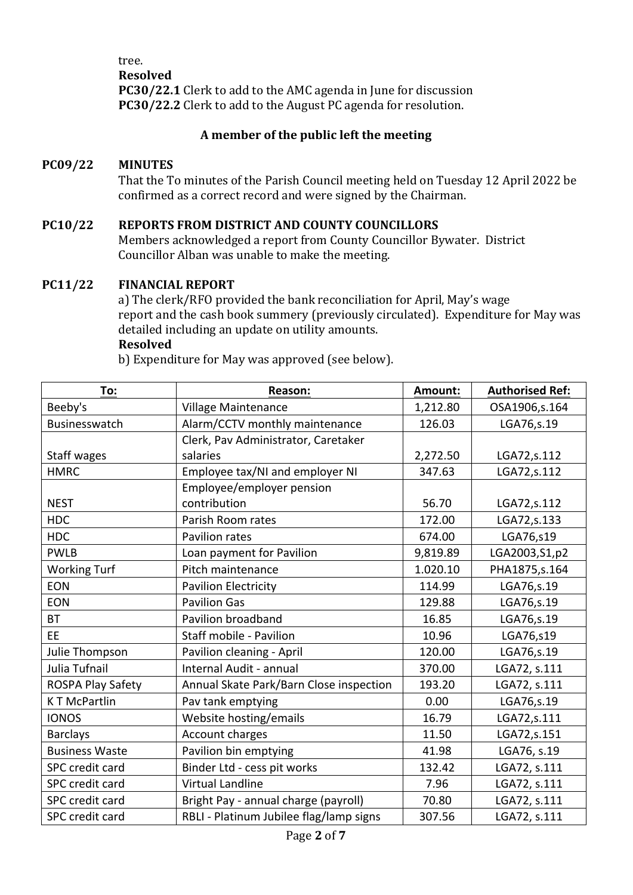tree. **Resolved PC30/22.1** Clerk to add to the AMC agenda in June for discussion **PC30/22.2** Clerk to add to the August PC agenda for resolution.

# **A member of the public left the meeting**

# **PC09/22 MINUTES**

That the To minutes of the Parish Council meeting held on Tuesday 12 April 2022 be confirmed as a correct record and were signed by the Chairman.

## **PC10/22 REPORTS FROM DISTRICT AND COUNTY COUNCILLORS**

Members acknowledged a report from County Councillor Bywater. District Councillor Alban was unable to make the meeting.

#### **PC11/22 FINANCIAL REPORT**

a) The clerk/RFO provided the bank reconciliation for April, May's wage report and the cash book summery (previously circulated). Expenditure for May was detailed including an update on utility amounts.

## **Resolved**

b) Expenditure for May was approved (see below).

| To:                   | Reason:                                 | Amount:  | <b>Authorised Ref:</b> |
|-----------------------|-----------------------------------------|----------|------------------------|
| Beeby's               | Village Maintenance                     | 1,212.80 | OSA1906,s.164          |
| Businesswatch         | Alarm/CCTV monthly maintenance          | 126.03   | LGA76,s.19             |
|                       | Clerk, Pav Administrator, Caretaker     |          |                        |
| Staff wages           | salaries                                | 2,272.50 | LGA72, s. 112          |
| <b>HMRC</b>           | Employee tax/NI and employer NI         | 347.63   | LGA72, s.112           |
|                       | Employee/employer pension               |          |                        |
| <b>NEST</b>           | contribution                            | 56.70    | LGA72, s.112           |
| <b>HDC</b>            | Parish Room rates                       | 172.00   | LGA72,s.133            |
| <b>HDC</b>            | Pavilion rates                          | 674.00   | LGA76,s19              |
| <b>PWLB</b>           | Loan payment for Pavilion               | 9,819.89 | LGA2003, S1, p2        |
| <b>Working Turf</b>   | Pitch maintenance                       | 1.020.10 | PHA1875, s. 164        |
| <b>EON</b>            | <b>Pavilion Electricity</b>             | 114.99   | LGA76,s.19             |
| <b>EON</b>            | <b>Pavilion Gas</b>                     | 129.88   | LGA76,s.19             |
| <b>BT</b>             | Pavilion broadband                      | 16.85    | LGA76,s.19             |
| <b>EE</b>             | Staff mobile - Pavilion                 | 10.96    | LGA76,s19              |
| Julie Thompson        | Pavilion cleaning - April               | 120.00   | LGA76,s.19             |
| Julia Tufnail         | Internal Audit - annual                 | 370.00   | LGA72, s.111           |
| ROSPA Play Safety     | Annual Skate Park/Barn Close inspection | 193.20   | LGA72, s.111           |
| <b>KT McPartlin</b>   | Pav tank emptying                       | 0.00     | LGA76, s.19            |
| <b>IONOS</b>          | Website hosting/emails                  | 16.79    | LGA72,s.111            |
| <b>Barclays</b>       | Account charges                         | 11.50    | LGA72,s.151            |
| <b>Business Waste</b> | Pavilion bin emptying                   | 41.98    | LGA76, s.19            |
| SPC credit card       | Binder Ltd - cess pit works             | 132.42   | LGA72, s.111           |
| SPC credit card       | <b>Virtual Landline</b>                 | 7.96     | LGA72, s.111           |
| SPC credit card       | Bright Pay - annual charge (payroll)    | 70.80    | LGA72, s.111           |
| SPC credit card       | RBLI - Platinum Jubilee flag/lamp signs | 307.56   | LGA72, s.111           |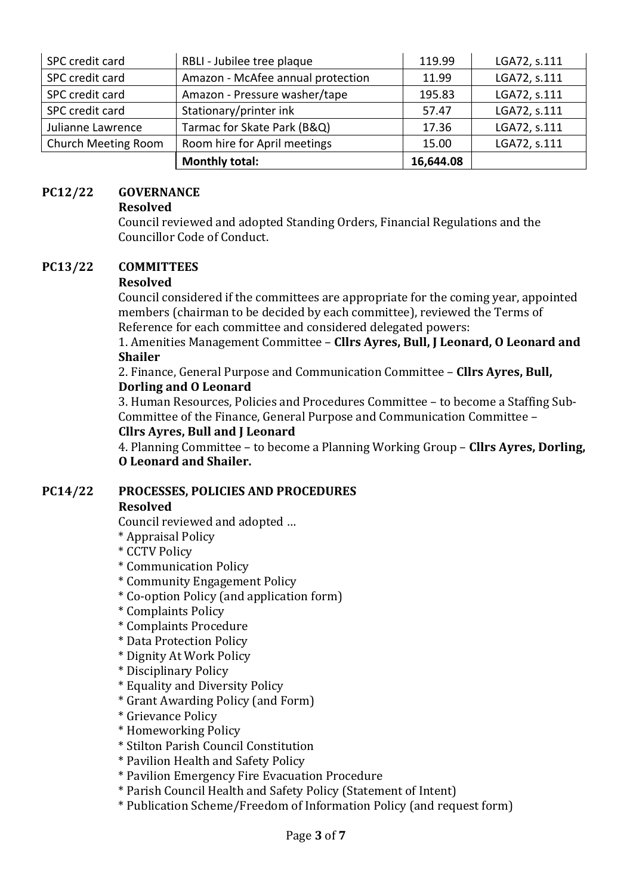| SPC credit card     | RBLI - Jubilee tree plaque        | 119.99    | LGA72, s.111 |
|---------------------|-----------------------------------|-----------|--------------|
| SPC credit card     | Amazon - McAfee annual protection | 11.99     | LGA72, s.111 |
| SPC credit card     | Amazon - Pressure washer/tape     | 195.83    | LGA72, s.111 |
| SPC credit card     | Stationary/printer ink            | 57.47     | LGA72, s.111 |
| Julianne Lawrence   | Tarmac for Skate Park (B&Q)       | 17.36     | LGA72, s.111 |
| Church Meeting Room | Room hire for April meetings      | 15.00     | LGA72, s.111 |
|                     | <b>Monthly total:</b>             | 16,644.08 |              |

## **PC12/22 GOVERNANCE**

#### **Resolved**

Council reviewed and adopted Standing Orders, Financial Regulations and the Councillor Code of Conduct.

## **PC13/22 COMMITTEES**

## **Resolved**

Council considered if the committees are appropriate for the coming year, appointed members (chairman to be decided by each committee), reviewed the Terms of Reference for each committee and considered delegated powers:

1. Amenities Management Committee - Cllrs Ayres, Bull, J Leonard, O Leonard and **Shailer**

2. Finance, General Purpose and Communication Committee - **Cllrs Ayres, Bull, Dorling and O Leonard** 

3. Human Resources, Policies and Procedures Committee – to become a Staffing Sub-Committee of the Finance, General Purpose and Communication Committee -

## **Cllrs Ayres, Bull and I Leonard**

4. Planning Committee – to become a Planning Working Group – **Cllrs Ayres, Dorling, O Leonard and Shailer.**

## **PC14/22 PROCESSES, POLICIES AND PROCEDURES**

#### **Resolved**

Council reviewed and adopted ...

- \* Appraisal Policy
- \* CCTV Policy
- \* Communication Policy
- \* Community Engagement Policy
- \* Co-option Policy (and application form)
- \* Complaints Policy
- \* Complaints Procedure
- \* Data Protection Policy
- \* Dignity At Work Policy
- \* Disciplinary Policy
- \* Equality and Diversity Policy
- \* Grant Awarding Policy (and Form)
- \* Grievance Policy
- \* Homeworking Policy
- \* Stilton Parish Council Constitution
- \* Pavilion Health and Safety Policy
- \* Pavilion Emergency Fire Evacuation Procedure
- \* Parish Council Health and Safety Policy (Statement of Intent)
- \* Publication Scheme/Freedom of Information Policy (and request form)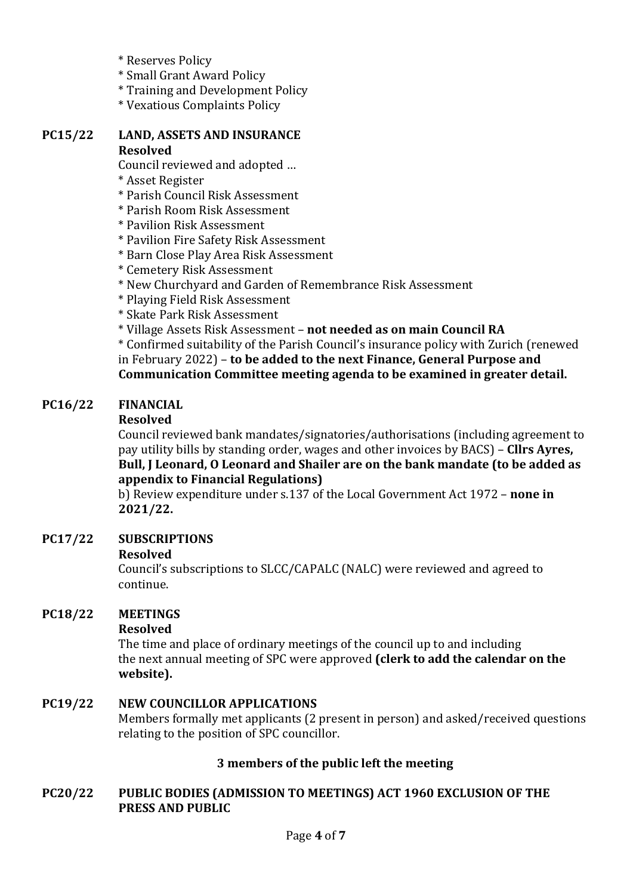- \* Reserves Policy
- \* Small Grant Award Policy
- \* Training and Development Policy
- \* Vexatious Complaints Policy

#### **PC15/22 LAND, ASSETS AND INSURANCE Resolved**

Council reviewed and adopted ...

- \* Asset Register
- \* Parish Council Risk Assessment
- \* Parish Room Risk Assessment
- \* Pavilion Risk Assessment
- \* Pavilion Fire Safety Risk Assessment
- \* Barn Close Play Area Risk Assessment
- \* Cemetery Risk Assessment
- \* New Churchyard and Garden of Remembrance Risk Assessment
- \* Playing Field Risk Assessment
- \* Skate Park Risk Assessment
- \* Village Assets Risk Assessment – **not needed as on main Council RA**

\* Confirmed suitability of the Parish Council's insurance policy with Zurich (renewed in February 2022) – **to be added to the next Finance, General Purpose and** Communication Committee meeting agenda to be examined in greater detail.

# **PC16/22 FINANCIAL**

## **Resolved**

Council reviewed bank mandates/signatories/authorisations (including agreement to pay utility bills by standing order, wages and other invoices by BACS) – **Cllrs Ayres, Bull, J Leonard, O Leonard and Shailer are on the bank mandate (to be added as appendix to Financial Regulations)** 

b) Review expenditure under s.137 of the Local Government Act 1972 - none in **2021/22.**

# **PC17/22 SUBSCRIPTIONS**

## **Resolved**

Council's subscriptions to SLCC/CAPALC (NALC) were reviewed and agreed to continue.

# **PC18/22 MEETINGS**

## **Resolved**

The time and place of ordinary meetings of the council up to and including the next annual meeting of SPC were approved **(clerk to add the calendar on the website).**

# **PC19/22 NEW COUNCILLOR APPLICATIONS**

Members formally met applicants (2 present in person) and asked/received questions relating to the position of SPC councillor.

# **3** members of the public left the meeting

# **PC20/22** PUBLIC BODIES (ADMISSION TO MEETINGS) ACT 1960 EXCLUSION OF THE **PRESS AND PUBLIC**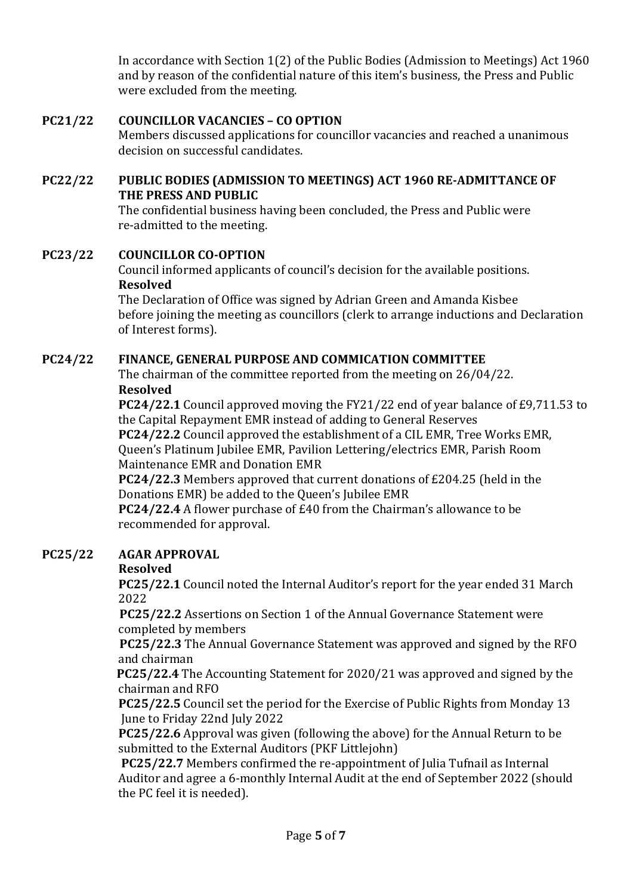In accordance with Section  $1(2)$  of the Public Bodies (Admission to Meetings) Act 1960 and by reason of the confidential nature of this item's business, the Press and Public were excluded from the meeting.

# **PC21/22 COUNCILLOR VACANCIES – CO OPTION**

Members discussed applications for councillor vacancies and reached a unanimous decision on successful candidates.

# **PC22/22** PUBLIC BODIES (ADMISSION TO MEETINGS) ACT 1960 RE-ADMITTANCE OF **THE PRESS AND PUBLIC**

The confidential business having been concluded, the Press and Public were re-admitted to the meeting.

# **PC23/22 COUNCILLOR CO-OPTION**

Council informed applicants of council's decision for the available positions. **Resolved**

The Declaration of Office was signed by Adrian Green and Amanda Kisbee before joining the meeting as councillors (clerk to arrange inductions and Declaration of Interest forms).

# **PC24/22 FINANCE, GENERAL PURPOSE AND COMMICATION COMMITTEE**

The chairman of the committee reported from the meeting on  $26/04/22$ . **Resolved**

**PC24/22.1** Council approved moving the FY21/22 end of year balance of £9,711.53 to the Capital Repayment EMR instead of adding to General Reserves

**PC24/22.2** Council approved the establishment of a CIL EMR, Tree Works EMR, Queen's Platinum Jubilee EMR, Pavilion Lettering/electrics EMR, Parish Room Maintenance EMR and Donation EMR

**PC24/22.3** Members approved that current donations of £204.25 (held in the Donations EMR) be added to the Queen's Jubilee EMR

**PC24/22.4** A flower purchase of £40 from the Chairman's allowance to be recommended for approval.

# **PC25/22 AGAR APPROVAL**

# **Resolved**

**PC25/22.1** Council noted the Internal Auditor's report for the year ended 31 March 2022

**PC25/22.2** Assertions on Section 1 of the Annual Governance Statement were completed by members

**PC25/22.3** The Annual Governance Statement was approved and signed by the RFO and chairman 

**PC25/22.4** The Accounting Statement for 2020/21 was approved and signed by the chairman and RFO

**PC25/22.5** Council set the period for the Exercise of Public Rights from Monday 13 June to Friday 22nd July 2022

**PC25/22.6** Approval was given (following the above) for the Annual Return to be submitted to the External Auditors (PKF Littlejohn)

**PC25/22.7** Members confirmed the re-appointment of Julia Tufnail as Internal Auditor and agree a 6-monthly Internal Audit at the end of September 2022 (should the PC feel it is needed).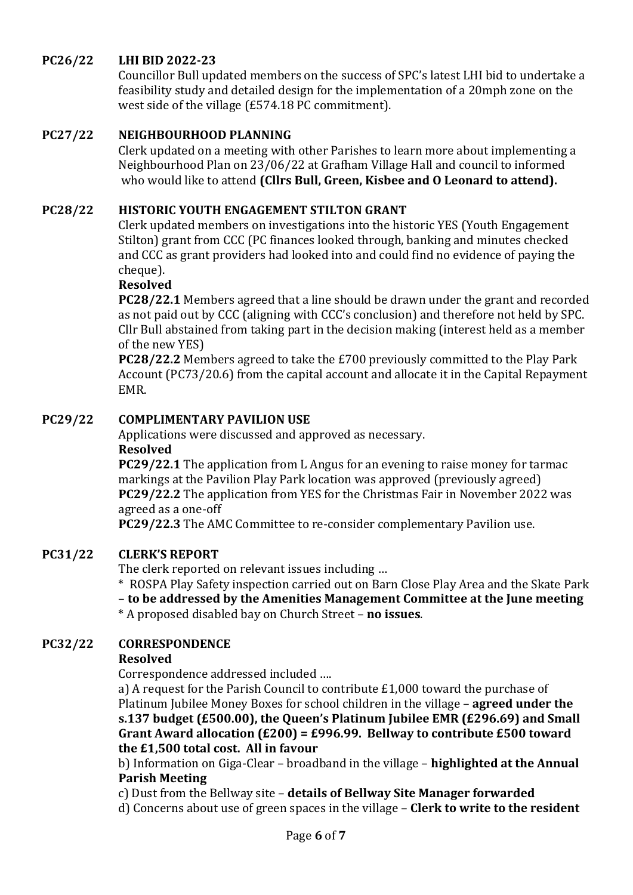# **PC26/22 LHI BID 2022-23**

Councillor Bull updated members on the success of SPC's latest LHI bid to undertake a feasibility study and detailed design for the implementation of a 20mph zone on the west side of the village (£574.18 PC commitment).

## **PC27/22 NEIGHBOURHOOD PLANNING**

Clerk updated on a meeting with other Parishes to learn more about implementing a Neighbourhood Plan on 23/06/22 at Grafham Village Hall and council to informed who would like to attend (Cllrs Bull, Green, Kisbee and O Leonard to attend).

# **PC28/22 HISTORIC YOUTH ENGAGEMENT STILTON GRANT**

Clerk updated members on investigations into the historic YES (Youth Engagement Stilton) grant from CCC (PC finances looked through, banking and minutes checked and CCC as grant providers had looked into and could find no evidence of paying the cheque).

## **Resolved**

**PC28/22.1** Members agreed that a line should be drawn under the grant and recorded as not paid out by CCC (aligning with CCC's conclusion) and therefore not held by SPC. Cllr Bull abstained from taking part in the decision making (interest held as a member of the new YES)

**PC28/22.2** Members agreed to take the £700 previously committed to the Play Park Account (PC73/20.6) from the capital account and allocate it in the Capital Repayment EMR.

# **PC29/22 COMPLIMENTARY PAVILION USE**

Applications were discussed and approved as necessary. **Resolved**

**PC29/22.1** The application from L Angus for an evening to raise money for tarmac markings at the Pavilion Play Park location was approved (previously agreed) **PC29/22.2** The application from YES for the Christmas Fair in November 2022 was agreed as a one-off

**PC29/22.3** The AMC Committee to re-consider complementary Pavilion use.

## **PC31/22 CLERK'S REPORT**

The clerk reported on relevant issues including ...

\* ROSPA Play Safety inspection carried out on Barn Close Play Area and the Skate Park

– **to be addressed by the Amenities Management Committee at the June meeting**

\* A proposed disabled bay on Church Street – **no issues**.

## **PC32/22 CORRESPONDENCE**

#### **Resolved**

Correspondence addressed included ....

a) A request for the Parish Council to contribute  $£1,000$  toward the purchase of Platinum Iubilee Money Boxes for school children in the village – **agreed under the** s.137 budget (£500.00), the Oueen's Platinum Jubilee EMR (£296.69) and Small Grant Award allocation  $(E200) = E996.99$ . Bellway to contribute  $E500$  toward **the £1,500 total cost. All in favour**

b) Information on Giga-Clear – broadband in the village – **highlighted at the Annual Parish Meeting**

c) Dust from the Bellway site – **details of Bellway Site Manager forwarded** 

d) Concerns about use of green spaces in the village – **Clerk to write to the resident**